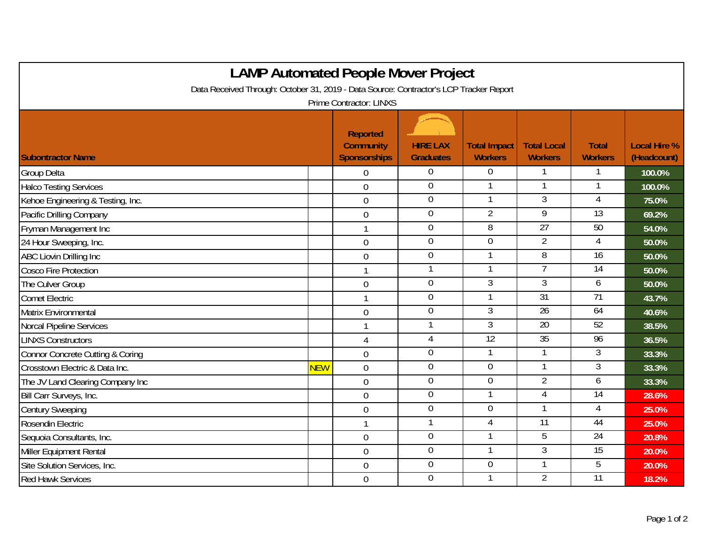| <b>LAMP Automated People Mover Project</b>                                                                        |            |                                                            |                                     |                                       |                                      |                                |                                    |  |  |  |  |  |
|-------------------------------------------------------------------------------------------------------------------|------------|------------------------------------------------------------|-------------------------------------|---------------------------------------|--------------------------------------|--------------------------------|------------------------------------|--|--|--|--|--|
| Data Received Through: October 31, 2019 - Data Source: Contractor's LCP Tracker Report<br>Prime Contractor: LINXS |            |                                                            |                                     |                                       |                                      |                                |                                    |  |  |  |  |  |
| <b>Subontractor Name</b>                                                                                          |            | <b>Reported</b><br><b>Community</b><br><b>Sponsorships</b> | <b>HIRE LAX</b><br><b>Graduates</b> | <b>Total Impact</b><br><b>Workers</b> | <b>Total Local</b><br><b>Workers</b> | <b>Total</b><br><b>Workers</b> | <b>Local Hire %</b><br>(Headcount) |  |  |  |  |  |
| <b>Group Delta</b>                                                                                                |            | 0                                                          | $\Omega$                            | 0                                     |                                      |                                | 100.0%                             |  |  |  |  |  |
| <b>Halco Testing Services</b>                                                                                     |            | $\overline{0}$                                             | $\overline{0}$                      | $\mathbf 1$                           | 1                                    |                                | 100.0%                             |  |  |  |  |  |
| Kehoe Engineering & Testing, Inc.                                                                                 |            | $\mathbf 0$                                                | $\overline{0}$                      |                                       | 3                                    | 4                              | 75.0%                              |  |  |  |  |  |
| Pacific Drilling Company                                                                                          |            | $\overline{0}$                                             | $\mathbf 0$                         | $\overline{2}$                        | $\overline{9}$                       | $\overline{13}$                | 69.2%                              |  |  |  |  |  |
| Fryman Management Inc                                                                                             |            |                                                            | $\overline{0}$                      | $\overline{8}$                        | $\overline{27}$                      | 50                             | 54.0%                              |  |  |  |  |  |
| 24 Hour Sweeping, Inc.                                                                                            |            | $\mathbf 0$                                                | $\mathbf 0$                         | $\overline{0}$                        | $\overline{2}$                       | 4                              | 50.0%                              |  |  |  |  |  |
| <b>ABC Liovin Drilling Inc</b>                                                                                    |            | $\mathbf 0$                                                | $\boldsymbol{0}$                    |                                       | 8                                    | 16                             | 50.0%                              |  |  |  |  |  |
| <b>Cosco Fire Protection</b>                                                                                      |            | $\mathbf{1}$                                               | 1                                   |                                       | 7                                    | 14                             | 50.0%                              |  |  |  |  |  |
| The Culver Group                                                                                                  |            | $\overline{0}$                                             | $\mathbf 0$                         | $\overline{3}$                        | 3                                    | 6                              | 50.0%                              |  |  |  |  |  |
| <b>Comet Electric</b>                                                                                             |            | $\mathbf{1}$                                               | $\boldsymbol{0}$                    |                                       | 31                                   | 71                             | 43.7%                              |  |  |  |  |  |
| <b>Matrix Environmental</b>                                                                                       |            | $\mathbf 0$                                                | $\mathbf 0$                         | $\overline{3}$                        | 26                                   | 64                             | 40.6%                              |  |  |  |  |  |
| <b>Norcal Pipeline Services</b>                                                                                   |            | 1                                                          | 1                                   | $\overline{3}$                        | 20                                   | 52                             | 38.5%                              |  |  |  |  |  |
| <b>LINXS Constructors</b>                                                                                         |            | $\overline{4}$                                             | $\overline{4}$                      | 12                                    | 35                                   | 96                             | 36.5%                              |  |  |  |  |  |
| Connor Concrete Cutting & Coring                                                                                  |            | $\overline{0}$                                             | $\mathbf 0$                         |                                       |                                      | 3                              | 33.3%                              |  |  |  |  |  |
| Crosstown Electric & Data Inc.                                                                                    | <b>NEW</b> | $\overline{0}$                                             | $\boldsymbol{0}$                    | $\mathbf 0$                           | $\mathbf{1}$                         | 3                              | 33.3%                              |  |  |  |  |  |
| The JV Land Clearing Company Inc                                                                                  |            | $\overline{0}$                                             | $\boldsymbol{0}$                    | $\overline{0}$                        | $\overline{2}$                       | 6                              | 33.3%                              |  |  |  |  |  |
| Bill Carr Surveys, Inc.                                                                                           |            | $\mathbf 0$                                                | $\boldsymbol{0}$                    | 1                                     | 4                                    | 14                             | 28.6%                              |  |  |  |  |  |
| <b>Century Sweeping</b>                                                                                           |            | $\boldsymbol{0}$                                           | $\mathbf 0$                         | $\mathbf 0$                           | 1                                    | 4                              | 25.0%                              |  |  |  |  |  |
| Rosendin Electric                                                                                                 |            | $\mathbf{1}$                                               | 1                                   | 4                                     | $\overline{11}$                      | 44                             | 25.0%                              |  |  |  |  |  |
| Sequoia Consultants, Inc.                                                                                         |            | $\mathbf 0$                                                | $\mathbf 0$                         | 1                                     | 5                                    | 24                             | 20.8%                              |  |  |  |  |  |
| Miller Equipment Rental                                                                                           |            | $\mathbf 0$                                                | $\boldsymbol{0}$                    |                                       | 3                                    | $\overline{15}$                | 20.0%                              |  |  |  |  |  |
| Site Solution Services, Inc.                                                                                      |            | $\mathbf 0$                                                | $\overline{0}$                      | $\overline{0}$                        | 1                                    | 5                              | 20.0%                              |  |  |  |  |  |
| <b>Red Hawk Services</b>                                                                                          |            | $\overline{0}$                                             | $\mathbf 0$                         |                                       | $\overline{2}$                       | 11                             | 18.2%                              |  |  |  |  |  |